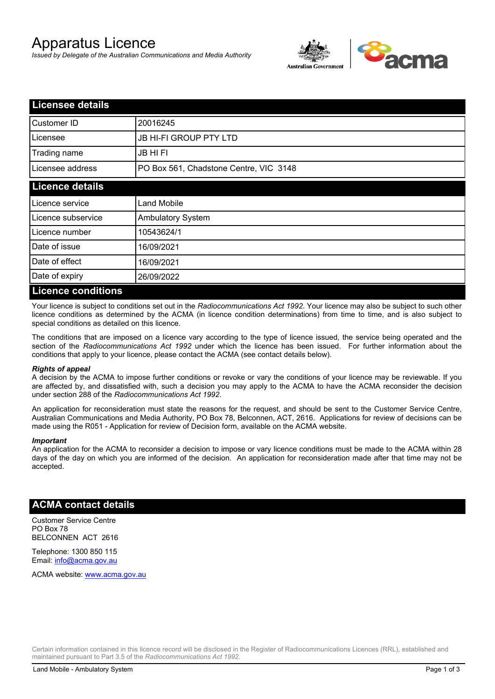# Apparatus Licence

*Issued by Delegate of the Australian Communications and Media Authority*



| <b>Licensee details</b>   |                                        |  |
|---------------------------|----------------------------------------|--|
| Customer ID               | 20016245                               |  |
| Licensee                  | <b>JB HI-FI GROUP PTY LTD</b>          |  |
| Trading name              | <b>JB HIFI</b>                         |  |
| Licensee address          | PO Box 561, Chadstone Centre, VIC 3148 |  |
| <b>Licence details</b>    |                                        |  |
| Licence service           | <b>Land Mobile</b>                     |  |
| Licence subservice        | Ambulatory System                      |  |
| Licence number            | 10543624/1                             |  |
| Date of issue             | 16/09/2021                             |  |
| Date of effect            | 16/09/2021                             |  |
| Date of expiry            | 26/09/2022                             |  |
| <b>Licence conditions</b> |                                        |  |

Your licence is subject to conditions set out in the *Radiocommunications Act 1992*. Your licence may also be subject to such other licence conditions as determined by the ACMA (in licence condition determinations) from time to time, and is also subject to special conditions as detailed on this licence.

The conditions that are imposed on a licence vary according to the type of licence issued, the service being operated and the section of the *Radiocommunications Act 1992* under which the licence has been issued. For further information about the conditions that apply to your licence, please contact the ACMA (see contact details below).

#### *Rights of appeal*

A decision by the ACMA to impose further conditions or revoke or vary the conditions of your licence may be reviewable. If you are affected by, and dissatisfied with, such a decision you may apply to the ACMA to have the ACMA reconsider the decision under section 288 of the *Radiocommunications Act 1992*.

An application for reconsideration must state the reasons for the request, and should be sent to the Customer Service Centre, Australian Communications and Media Authority, PO Box 78, Belconnen, ACT, 2616. Applications for review of decisions can be made using the R051 - Application for review of Decision form, available on the ACMA website.

#### *Important*

An application for the ACMA to reconsider a decision to impose or vary licence conditions must be made to the ACMA within 28 days of the day on which you are informed of the decision. An application for reconsideration made after that time may not be accepted.

### **ACMA contact details**

Customer Service Centre PO Box 78 BELCONNEN ACT 2616

Telephone: 1300 850 115 Email: info@acma.gov.au

ACMA website: www.acma.gov.au

Certain information contained in this licence record will be disclosed in the Register of Radiocommunications Licences (RRL), established and maintained pursuant to Part 3.5 of the *Radiocommunications Act 1992.*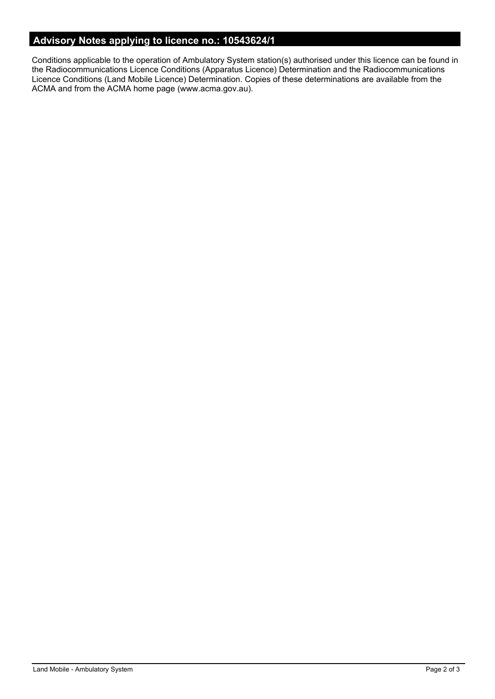# **Advisory Notes applying to licence no.: 10543624/1**

Conditions applicable to the operation of Ambulatory System station(s) authorised under this licence can be found in the Radiocommunications Licence Conditions (Apparatus Licence) Determination and the Radiocommunications Licence Conditions (Land Mobile Licence) Determination. Copies of these determinations are available from the ACMA and from the ACMA home page (www.acma.gov.au).